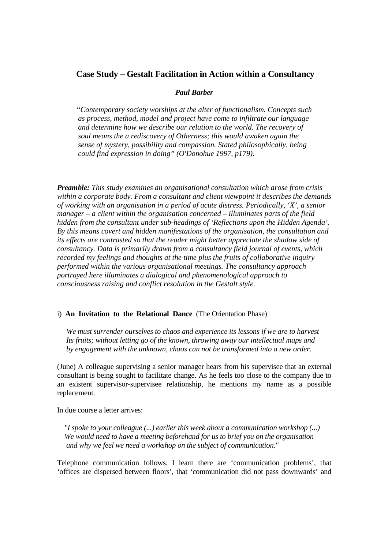# **Case Study – Gestalt Facilitation in Action within a Consultancy**

### *Paul Barber*

 *"Contemporary society worships at the alter of functionalism. Concepts such as process, method, model and project have come to infiltrate our language and determine how we describe our relation to the world. The recovery of soul means the a rediscovery of Otherness; this would awaken again the sense of mystery, possibility and compassion. Stated philosophically, being could find expression in doing" (O'Donohue 1997, p179).* 

*Preamble: This study examines an organisational consultation which arose from crisis within a corporate body. From a consultant and client viewpoint it describes the demands of working with an organisation in a period of acute distress. Periodically, 'X', a senior manager – a client within the organisation concerned – illuminates parts of the field hidden from the consultant under sub-headings of 'Reflections upon the Hidden Agenda'. By this means covert and hidden manifestations of the organisation, the consultation and its effects are contrasted so that the reader might better appreciate the shadow side of consultancy. Data is primarily drawn from a consultancy field journal of events, which recorded my feelings and thoughts at the time plus the fruits of collaborative inquiry performed within the various organisational meetings. The consultancy approach portrayed here illuminates a dialogical and phenomenological approach to consciousness raising and conflict resolution in the Gestalt style.* 

## i) **An Invitation to the Relational Dance** (The Orientation Phase)

 *We must surrender ourselves to chaos and experience its lessons if we are to harvest Its fruits; without letting go of the known, throwing away our intellectual maps and by engagement with the unknown, chaos can not be transformed into a new order.* 

(June) A colleague supervising a senior manager hears from his supervisee that an external consultant is being sought to facilitate change. As he feels too close to the company due to an existent supervisor-supervisee relationship, he mentions my name as a possible replacement.

In due course a letter arrives:

 *"I spoke to your colleague (...) earlier this week about a communication workshop (...) We would need to have a meeting beforehand for us to brief you on the organisation and why we feel we need a workshop on the subject of communication."*

Telephone communication follows. I learn there are 'communication problems', that 'offices are dispersed between floors', that 'communication did not pass downwards' and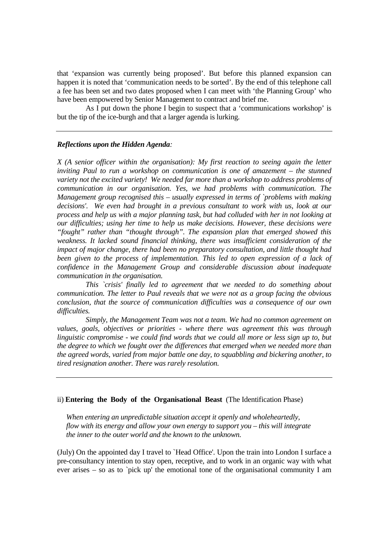that 'expansion was currently being proposed'. But before this planned expansion can happen it is noted that 'communication needs to be sorted'. By the end of this telephone call a fee has been set and two dates proposed when I can meet with 'the Planning Group' who have been empowered by Senior Management to contract and brief me.

 As I put down the phone I begin to suspect that a 'communications workshop' is but the tip of the ice-burgh and that a larger agenda is lurking.

## *Reflections upon the Hidden Agenda:*

*X (A senior officer within the organisation): My first reaction to seeing again the letter inviting Paul to run a workshop on communication is one of amazement – the stunned variety not the excited variety! We needed far more than a workshop to address problems of communication in our organisation. Yes, we had problems with communication. The Management group recognised this – usually expressed in terms of `problems with making decisions'. We even had brought in a previous consultant to work with us, look at our process and help us with a major planning task, but had colluded with her in not looking at our difficulties; using her time to help us make decisions. However, these decisions were "fought" rather than "thought through". The expansion plan that emerged showed this weakness. It lacked sound financial thinking, there was insufficient consideration of the impact of major change, there had been no preparatory consultation, and little thought had been given to the process of implementation. This led to open expression of a lack of confidence in the Management Group and considerable discussion about inadequate communication in the organisation.* 

 *This `crisis' finally led to agreement that we needed to do something about communication. The letter to Paul reveals that we were not as a group facing the obvious conclusion, that the source of communication difficulties was a consequence of our own difficulties.* 

 *Simply, the Management Team was not a team. We had no common agreement on values, goals, objectives or priorities - where there was agreement this was through linguistic compromise - we could find words that we could all more or less sign up to, but the degree to which we fought over the differences that emerged when we needed more than the agreed words, varied from major battle one day, to squabbling and bickering another, to tired resignation another. There was rarely resolution.* 

## ii) **Entering the Body of the Organisational Beast** (The Identification Phase)

 *When entering an unpredictable situation accept it openly and wholeheartedly, flow with its energy and allow your own energy to support you – this will integrate the inner to the outer world and the known to the unknown.*

(July) On the appointed day I travel to `Head Office'. Upon the train into London I surface a pre-consultancy intention to stay open, receptive, and to work in an organic way with what ever arises – so as to `pick up' the emotional tone of the organisational community I am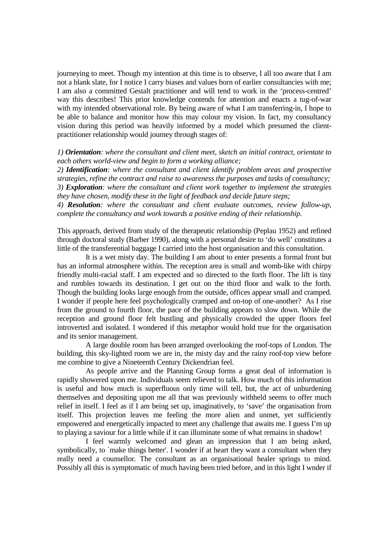journeying to meet. Though my intention at this time is to observe, I all too aware that I am not a blank slate, for I notice I carry biases and values born of earlier consultancies with me; I am also a committed Gestalt practitioner and will tend to work in the 'process-centred' way this describes! This prior knowledge contends for attention and enacts a tug-of-war with my intended observational role. By being aware of what I am transferring-in, I hope to be able to balance and monitor how this may colour my vision. In fact, my consultancy vision during this period was heavily informed by a model which presumed the clientpractitioner relationship would journey through stages of:

## *1) Orientation: where the consultant and client meet, sketch an initial contract, orientate to each others world-view and begin to form a working alliance;*

*2) Identification: where the consultant and client identify problem areas and prospective strategies, refine the contract and raise to awareness the purposes and tasks of consultancy; 3) Exploration: where the consultant and client work together to implement the strategies they have chosen, modify these in the light of feedback and decide future steps;* 

*4) Resolution: where the consultant and client evaluate outcomes, review follow-up, complete the consultancy and work towards a positive ending of their relationship.* 

This approach, derived from study of the therapeutic relationship (Peplau 1952) and refined through doctoral study (Barber 1990), along with a personal desire to 'do well' constitutes a little of the transferential baggage I carried into the host organisation and this consultation.

 It is a wet misty day. The building I am about to enter presents a formal front but has an informal atmosphere within. The reception area is small and womb-like with chirpy friendly multi-racial staff. I am expected and so directed to the forth floor. The lift is tiny and rumbles towards its destination. I get out on the third floor and walk to the forth. Though the building looks large enough from the outside, offices appear small and cramped. I wonder if people here feel psychologically cramped and on-top of one-another? As I rise from the ground to fourth floor, the pace of the building appears to slow down. While the reception and ground floor felt bustling and physically crowded the upper floors feel introverted and isolated. I wondered if this metaphor would hold true for the organisation and its senior management.

 A large double room has been arranged overlooking the roof-tops of London. The building, this sky-lighted room we are in, the misty day and the rainy roof-top view before me combine to give a Nineteenth Century Dickendrian feel.

 As people arrive and the Planning Group forms a great deal of information is rapidly showered upon me. Individuals seem relieved to talk. How much of this information is useful and how much is superfluous only time will tell, but, the act of unburdening themselves and depositing upon me all that was previously withheld seems to offer much relief in itself. I feel as if I am being set up, imaginatively, to 'save' the organisation from itself. This projection leaves me feeling the more alien and unmet, yet sufficiently empowered and energetically impacted to meet any challenge that awaits me. I guess I'm up to playing a saviour for a little while if it can illuminate some of what remains in shadow!

 I feel warmly welcomed and glean an impression that I am being asked, symbolically, to `make things better'. I wonder if at heart they want a consultant when they really need a counsellor. The consultant as an organisational healer springs to mind. Possibly all this is symptomatic of much having been tried before, and in this light I wnder if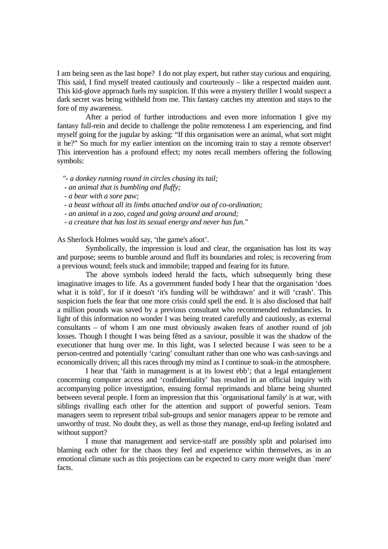I am being seen as the last hope? I do not play expert, but rather stay curious and enquiring. This said, I find myself treated cautiously and courteously – like a respected maiden aunt. This kid-glove approach fuels my suspicion. If this were a mystery thriller I would suspect a dark secret was being withheld from me. This fantasy catches my attention and stays to the fore of my awareness.

 After a period of further introductions and even more information I give my fantasy full-rein and decide to challenge the polite remoteness I am experiencing, and find myself going for the jugular by asking: "If this organisation were an animal, what sort might it be?" So much for my earlier intention on the incoming train to stay a remote observer! This intervention has a profound effect; my notes recall members offering the following symbols:

 *"- a donkey running round in circles chasing its tail;* 

- *an animal that is bumbling and fluffy;*
- *a bear with a sore paw;*
- *a beast without all its limbs attached and/or out of co-ordination;*
- *an animal in a zoo, caged and going around and around;*
- *a creature that has lost its sexual energy and never has fun."*

As Sherlock Holmes would say, 'the game's afoot'.

 Symbolically, the impression is loud and clear, the organisation has lost its way and purpose; seems to bumble around and fluff its boundaries and roles; is recovering from a previous wound; feels stuck and immobile; trapped and fearing for its future.

 The above symbols indeed herald the facts, which subsequently bring these imaginative images to life. As a government funded body I hear that the organisation 'does what it is told', for if it doesn't 'it's funding will be withdrawn' and it will 'crash'. This suspicion fuels the fear that one more crisis could spell the end. It is also disclosed that half a million pounds was saved by a previous consultant who recommended redundancies. In light of this information no wonder I was being treated carefully and cautiously, as external consultants – of whom I am one must obviously awaken fears of another round of job losses. Though I thought I was being fêted as a saviour, possible it was the shadow of the executioner that hung over me. In this light, was I selected because I was seen to be a person-centred and potentially 'caring' consultant rather than one who was cash-savings and economically driven; all this races through my mind as I continue to soak-in the atmosphere.

 I hear that 'faith in management is at its lowest ebb'; that a legal entanglement concerning computer access and 'confidentiality' has resulted in an official inquiry with accompanying police investigation, ensuing formal reprimands and blame being shunted between several people. I form an impression that this `organisational family' is at war, with siblings rivalling each other for the attention and support of powerful seniors. Team managers seem to represent tribal sub-groups and senior managers appear to be remote and unworthy of trust. No doubt they, as well as those they manage, end-up feeling isolated and without support?

 I muse that management and service-staff are possibly split and polarised into blaming each other for the chaos they feel and experience within themselves, as in an emotional climate such as this projections can be expected to carry more weight than `mere' facts.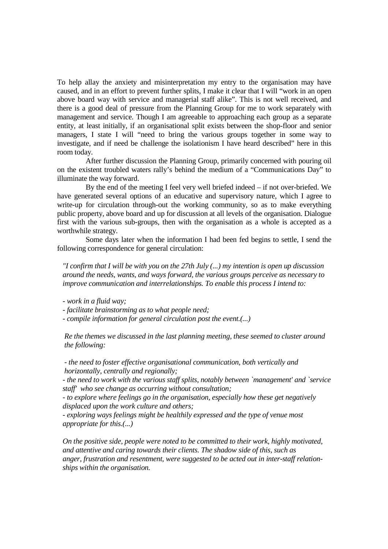To help allay the anxiety and misinterpretation my entry to the organisation may have caused, and in an effort to prevent further splits, I make it clear that I will "work in an open above board way with service and managerial staff alike". This is not well received, and there is a good deal of pressure from the Planning Group for me to work separately with management and service. Though I am agreeable to approaching each group as a separate entity, at least initially, if an organisational split exists between the shop-floor and senior managers, I state I will "need to bring the various groups together in some way to investigate, and if need be challenge the isolationism I have heard described" here in this room today.

 After further discussion the Planning Group, primarily concerned with pouring oil on the existent troubled waters rally's behind the medium of a "Communications Day" to illuminate the way forward.

 By the end of the meeting I feel very well briefed indeed – if not over-briefed. We have generated several options of an educative and supervisory nature, which I agree to write-up for circulation through-out the working community, so as to make everything public property, above board and up for discussion at all levels of the organisation. Dialogue first with the various sub-groups, then with the organisation as a whole is accepted as a worthwhile strategy.

 Some days later when the information I had been fed begins to settle, I send the following correspondence for general circulation:

 *"I confirm that I will be with you on the 27th July (...) my intention is open up discussion around the needs, wants, and ways forward, the various groups perceive as necessary to improve communication and interrelationships. To enable this process I intend to:* 

 *- work in a fluid way;* 

 *- facilitate brainstorming as to what people need;* 

 *- compile information for general circulation post the event.(...)* 

 *Re the themes we discussed in the last planning meeting, these seemed to cluster around the following:* 

 *- the need to foster effective organisational communication, both vertically and horizontally, centrally and regionally;* 

 *- the need to work with the various staff splits, notably between `management' and `service staff' who see change as occurring without consultation;* 

 *- to explore where feelings go in the organisation, especially how these get negatively displaced upon the work culture and others;* 

 *- exploring ways feelings might be healthily expressed and the type of venue most appropriate for this.(...)* 

 *On the positive side, people were noted to be committed to their work, highly motivated, and attentive and caring towards their clients. The shadow side of this, such as anger, frustration and resentment, were suggested to be acted out in inter-staff relation ships within the organisation.*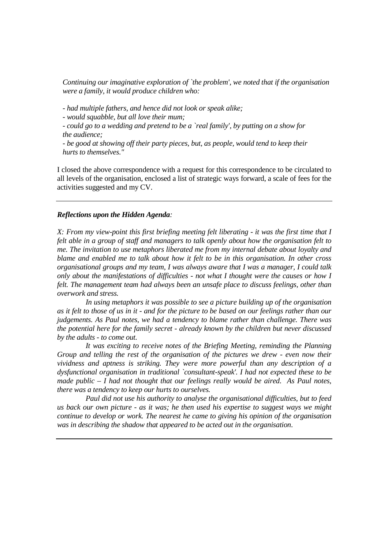*Continuing our imaginative exploration of `the problem', we noted that if the organisation were a family, it would produce children who:* 

 *- had multiple fathers, and hence did not look or speak alike;* 

 *- would squabble, but all love their mum;* 

 *- could go to a wedding and pretend to be a `real family', by putting on a show for the audience;* 

 *- be good at showing off their party pieces, but, as people, would tend to keep their hurts to themselves."*

I closed the above correspondence with a request for this correspondence to be circulated to all levels of the organisation, enclosed a list of strategic ways forward, a scale of fees for the activities suggested and my CV.

### *Reflections upon the Hidden Agenda:*

*X: From my view-point this first briefing meeting felt liberating - it was the first time that I felt able in a group of staff and managers to talk openly about how the organisation felt to me. The invitation to use metaphors liberated me from my internal debate about loyalty and blame and enabled me to talk about how it felt to be in this organisation. In other cross organisational groups and my team, I was always aware that I was a manager, I could talk only about the manifestations of difficulties - not what I thought were the causes or how I felt. The management team had always been an unsafe place to discuss feelings, other than overwork and stress.* 

 *In using metaphors it was possible to see a picture building up of the organisation as it felt to those of us in it - and for the picture to be based on our feelings rather than our judgements. As Paul notes, we had a tendency to blame rather than challenge. There was the potential here for the family secret - already known by the children but never discussed by the adults - to come out.* 

 *It was exciting to receive notes of the Briefing Meeting, reminding the Planning Group and telling the rest of the organisation of the pictures we drew - even now their vividness and aptness is striking. They were more powerful than any description of a dysfunctional organisation in traditional `consultant-speak'. I had not expected these to be made public – I had not thought that our feelings really would be aired. As Paul notes, there was a tendency to keep our hurts to ourselves.* 

 *Paul did not use his authority to analyse the organisational difficulties, but to feed us back our own picture - as it was; he then used his expertise to suggest ways we might continue to develop or work. The nearest he came to giving his opinion of the organisation was in describing the shadow that appeared to be acted out in the organisation*.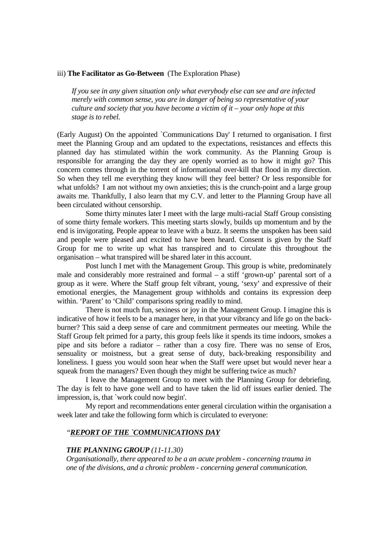### iii) **The Facilitator as Go-Between** (The Exploration Phase)

 *If you see in any given situation only what everybody else can see and are infected merely with common sense, you are in danger of being so representative of your culture and society that you have become a victim of it – your only hope at this stage is to rebel.*

(Early August) On the appointed `Communications Day' I returned to organisation. I first meet the Planning Group and am updated to the expectations, resistances and effects this planned day has stimulated within the work community. As the Planning Group is responsible for arranging the day they are openly worried as to how it might go? This concern comes through in the torrent of informational over-kill that flood in my direction. So when they tell me everything they know will they feel better? Or less responsible for what unfolds? I am not without my own anxieties; this is the crunch-point and a large group awaits me. Thankfully, I also learn that my C.V. and letter to the Planning Group have all been circulated without censorship.

 Some thirty minutes later I meet with the large multi-racial Staff Group consisting of some thirty female workers. This meeting starts slowly, builds up momentum and by the end is invigorating. People appear to leave with a buzz. It seems the unspoken has been said and people were pleased and excited to have been heard. Consent is given by the Staff Group for me to write up what has transpired and to circulate this throughout the organisation – what transpired will be shared later in this account.

 Post lunch I met with the Management Group. This group is white, predominately male and considerably more restrained and formal – a stiff 'grown-up' parental sort of a group as it were. Where the Staff group felt vibrant, young, 'sexy' and expressive of their emotional energies, the Management group withholds and contains its expression deep within. 'Parent' to 'Child' comparisons spring readily to mind.

 There is not much fun, sexiness or joy in the Management Group. I imagine this is indicative of how it feels to be a manager here, in that your vibrancy and life go on the backburner? This said a deep sense of care and commitment permeates our meeting. While the Staff Group felt primed for a party, this group feels like it spends its time indoors, smokes a pipe and sits before a radiator – rather than a cosy fire. There was no sense of Eros, sensuality or moistness, but a great sense of duty, back-breaking responsibility and loneliness. I guess you would soon hear when the Staff were upset but would never hear a squeak from the managers? Even though they might be suffering twice as much?

 I leave the Management Group to meet with the Planning Group for debriefing. The day is felt to have gone well and to have taken the lid off issues earlier denied. The impression, is, that `work could now begin'.

 My report and recommendations enter general circulation within the organisation a week later and take the following form which is circulated to everyone:

## *"REPORT OF THE `COMMUNICATIONS DAY*

### *THE PLANNING GROUP (11-11.30)*

 *Organisationally, there appeared to be a an acute problem - concerning trauma in one of the divisions, and a chronic problem - concerning general communication.*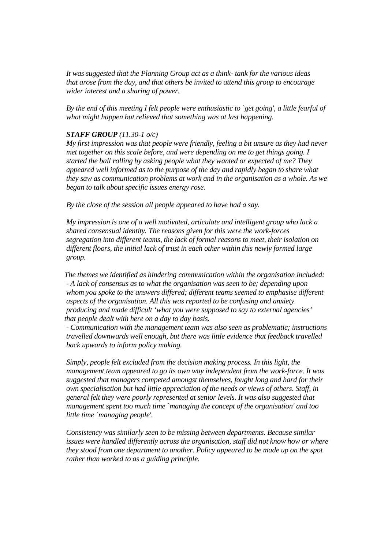*It was suggested that the Planning Group act as a think- tank for the various ideas that arose from the day, and that others be invited to attend this group to encourage wider interest and a sharing of power.* 

 *By the end of this meeting I felt people were enthusiastic to `get going', a little fearful of what might happen but relieved that something was at last happening.* 

## *STAFF GROUP (11.30-1 o/c)*

 *My first impression was that people were friendly, feeling a bit unsure as they had never met together on this scale before, and were depending on me to get things going. I started the ball rolling by asking people what they wanted or expected of me? They appeared well informed as to the purpose of the day and rapidly began to share what they saw as communication problems at work and in the organisation as a whole. As we began to talk about specific issues energy rose.* 

 *By the close of the session all people appeared to have had a say.* 

 *My impression is one of a well motivated, articulate and intelligent group who lack a shared consensual identity. The reasons given for this were the work-forces segregation into different teams, the lack of formal reasons to meet, their isolation on different floors, the initial lack of trust in each other within this newly formed large group.* 

 *The themes we identified as hindering communication within the organisation included: - A lack of consensus as to what the organisation was seen to be; depending upon whom you spoke to the answers differed; different teams seemed to emphasise different aspects of the organisation. All this was reported to be confusing and anxiety producing and made difficult 'what you were supposed to say to external agencies' that people dealt with here on a day to day basis.* 

 *- Communication with the management team was also seen as problematic; instructions travelled downwards well enough, but there was little evidence that feedback travelled back upwards to inform policy making.* 

 *Simply, people felt excluded from the decision making process. In this light, the management team appeared to go its own way independent from the work-force. It was suggested that managers competed amongst themselves, fought long and hard for their own specialisation but had little appreciation of the needs or views of others. Staff, in general felt they were poorly represented at senior levels. It was also suggested that management spent too much time `managing the concept of the organisation' and too little time `managing people'.* 

 *Consistency was similarly seen to be missing between departments. Because similar issues were handled differently across the organisation, staff did not know how or where they stood from one department to another. Policy appeared to be made up on the spot rather than worked to as a guiding principle.*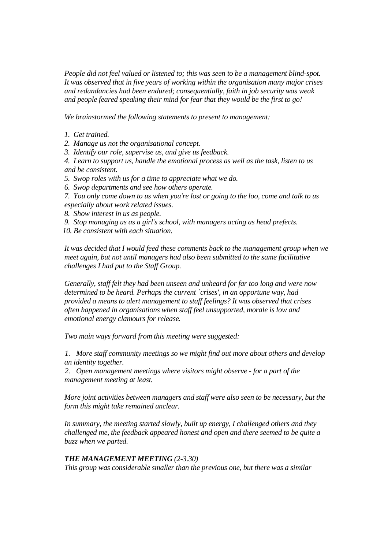*People did not feel valued or listened to; this was seen to be a management blind-spot. It was observed that in five years of working within the organisation many major crises and redundancies had been endured; consequentially, faith in job security was weak and people feared speaking their mind for fear that they would be the first to go!* 

 *We brainstormed the following statements to present to management:* 

- *1. Get trained.*
- *2. Manage us not the organisational concept.*
- *3. Identify our role, supervise us, and give us feedback.*
- *4. Learn to support us, handle the emotional process as well as the task, listen to us and be consistent.*
- *5. Swop roles with us for a time to appreciate what we do.*
- *6. Swop departments and see how others operate.*
- *7. You only come down to us when you're lost or going to the loo, come and talk to us especially about work related issues.*
- *8. Show interest in us as people.*
- *9. Stop managing us as a girl's school, with managers acting as head prefects.*
- *10. Be consistent with each situation.*

 *It was decided that I would feed these comments back to the management group when we meet again, but not until managers had also been submitted to the same facilitative challenges I had put to the Staff Group.* 

 *Generally, staff felt they had been unseen and unheard for far too long and were now determined to be heard. Perhaps the current `crises', in an opportune way, had provided a means to alert management to staff feelings? It was observed that crises often happened in organisations when staff feel unsupported, morale is low and emotional energy clamours for release.* 

 *Two main ways forward from this meeting were suggested:* 

*1. More staff community meetings so we might find out more about others and develop an identity together.* 

*2. Open management meetings where visitors might observe - for a part of the management meeting at least.* 

 *More joint activities between managers and staff were also seen to be necessary, but the form this might take remained unclear.* 

 *In summary, the meeting started slowly, built up energy, I challenged others and they challenged me, the feedback appeared honest and open and there seemed to be quite a buzz when we parted.* 

## *THE MANAGEMENT MEETING (2-3.30)*

 *This group was considerable smaller than the previous one, but there was a similar*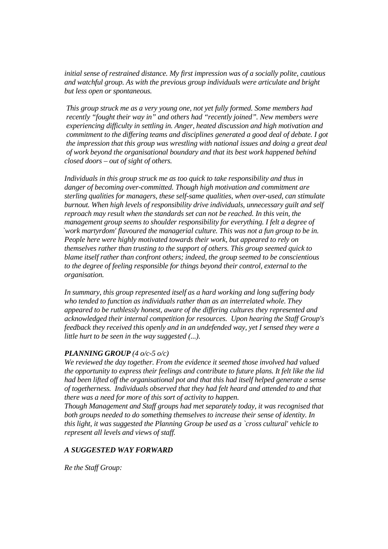*initial sense of restrained distance. My first impression was of a socially polite, cautious and watchful group. As with the previous group individuals were articulate and bright but less open or spontaneous.* 

 *This group struck me as a very young one, not yet fully formed. Some members had recently "fought their way in" and others had "recently joined". New members were experiencing difficulty in settling in. Anger, heated discussion and high motivation and commitment to the differing teams and disciplines generated a good deal of debate. I got the impression that this group was wrestling with national issues and doing a great deal of work beyond the organisational boundary and that its best work happened behind closed doors – out of sight of others.* 

 *Individuals in this group struck me as too quick to take responsibility and thus in danger of becoming over-committed. Though high motivation and commitment are sterling qualities for managers, these self-same qualities, when over-used, can stimulate burnout. When high levels of responsibility drive individuals, unnecessary guilt and self reproach may result when the standards set can not be reached. In this vein, the management group seems to shoulder responsibility for everything. I felt a degree of `work martyrdom' flavoured the managerial culture. This was not a fun group to be in. People here were highly motivated towards their work, but appeared to rely on themselves rather than trusting to the support of others. This group seemed quick to blame itself rather than confront others; indeed, the group seemed to be conscientious to the degree of feeling responsible for things beyond their control, external to the organisation.* 

 *In summary, this group represented itself as a hard working and long suffering body who tended to function as individuals rather than as an interrelated whole. They appeared to be ruthlessly honest, aware of the differing cultures they represented and acknowledged their internal competition for resources. Upon hearing the Staff Group's feedback they received this openly and in an undefended way, yet I sensed they were a little hurt to be seen in the way suggested (...).* 

## *PLANNING GROUP (4 o/c-5 o/c)*

 *We reviewed the day together. From the evidence it seemed those involved had valued the opportunity to express their feelings and contribute to future plans. It felt like the lid had been lifted off the organisational pot and that this had itself helped generate a sense of togetherness. Individuals observed that they had felt heard and attended to and that there was a need for more of this sort of activity to happen.* 

 *Though Management and Staff groups had met separately today, it was recognised that both groups needed to do something themselves to increase their sense of identity. In this light, it was suggested the Planning Group be used as a `cross cultural' vehicle to represent all levels and views of staff.* 

## *A SUGGESTED WAY FORWARD*

 *Re the Staff Group:*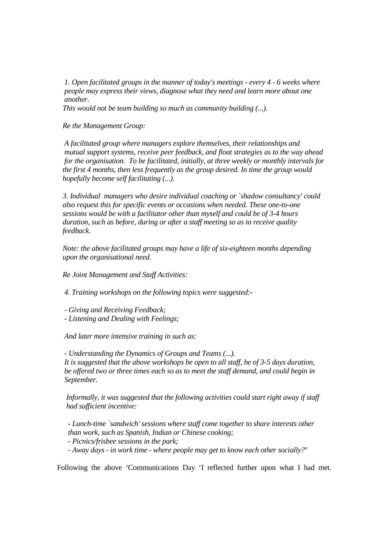*1. Open facilitated groups in the manner of today's meetings - every 4 - 6 weeks where people may express their views, diagnose what they need and learn more about one another.* 

 *This would not be team building so much as community building (...).* 

 *Re the Management Group:* 

 *A facilitated group where managers explore themselves, their relationships and mutual support systems, receive peer feedback, and float strategies as to the way ahead for the organisation. To be facilitated, initially, at three weekly or monthly intervals for the first 4 months, then less frequently as the group desired. In time the group would hopefully become self facilitating (...).* 

 *3. Individual managers who desire individual coaching or `shadow consultancy' could also request this for specific events or occasions when needed. These one-to-one sessions would be with a facilitator other than myself and could be of 3-4 hours duration, such as before, during or after a staff meeting so as to receive quality feedback.* 

 *Note: the above facilitated groups may have a life of six-eighteen months depending upon the organisational need.* 

 *Re Joint Management and Staff Activities:* 

 *4. Training workshops on the following topics were suggested:-* 

- *Giving and Receiving Feedback;*
- *Listening and Dealing with Feelings;*

 *And later more intensive training in such as:* 

 *- Understanding the Dynamics of Groups and Teams (...). It is suggested that the above workshops be open to all staff, be of 3-5 days duration, be offered two or three times each so as to meet the staff demand, and could begin in September.* 

 *Informally, it was suggested that the following activities could start right away if staff had sufficient incentive:* 

 *- Lunch-time `sandwich' sessions where staff come together to share interests other than work, such as Spanish, Indian or Chinese cooking;* 

 *- Picnics/frisbee sessions in the park;* 

 *- Away days - in work time - where people may get to know each other socially?*"

Following the above 'Communications Day 'I reflected further upon what I had met.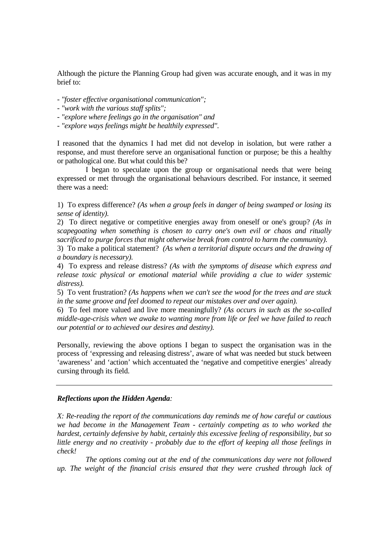Although the picture the Planning Group had given was accurate enough, and it was in my brief to:

- *"foster effective organisational communication";*
- *"work with the various staff splits";*
- *"explore where feelings go in the organisation" and*
- *"explore ways feelings might be healthily expressed".*

I reasoned that the dynamics I had met did not develop in isolation, but were rather a response, and must therefore serve an organisational function or purpose; be this a healthy or pathological one. But what could this be?

 I began to speculate upon the group or organisational needs that were being expressed or met through the organisational behaviours described. For instance, it seemed there was a need:

1) To express difference? *(As when a group feels in danger of being swamped or losing its sense of identity).* 

2) To direct negative or competitive energies away from oneself or one's group? *(As in scapegoating when something is chosen to carry one's own evil or chaos and ritually sacrificed to purge forces that might otherwise break from control to harm the community).*

3) To make a political statement? *(As when a territorial dispute occurs and the drawing of a boundary is necessary).* 

4) To express and release distress? *(As with the symptoms of disease which express and release toxic physical or emotional material while providing a clue to wider systemic distress).* 

5) To vent frustration? *(As happens when we can't see the wood for the trees and are stuck in the same groove and feel doomed to repeat our mistakes over and over again).* 

6) To feel more valued and live more meaningfully? *(As occurs in such as the so-called middle-age-crisis when we awake to wanting more from life or feel we have failed to reach our potential or to achieved our desires and destiny).* 

Personally, reviewing the above options I began to suspect the organisation was in the process of 'expressing and releasing distress', aware of what was needed but stuck between 'awareness' and 'action' which accentuated the 'negative and competitive energies' already cursing through its field.

## *Reflections upon the Hidden Agenda:*

*X: Re-reading the report of the communications day reminds me of how careful or cautious we had become in the Management Team - certainly competing as to who worked the hardest, certainly defensive by habit, certainly this excessive feeling of responsibility, but so little energy and no creativity - probably due to the effort of keeping all those feelings in check!* 

 *The options coming out at the end of the communications day were not followed up. The weight of the financial crisis ensured that they were crushed through lack of*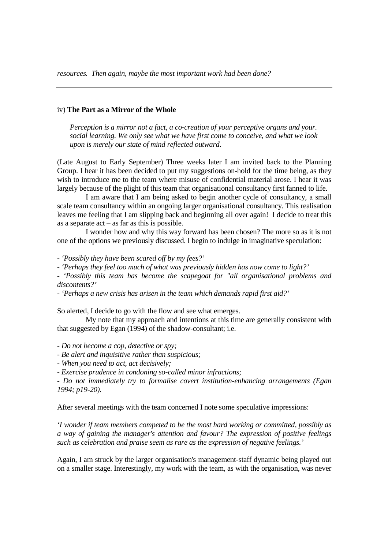#### iv) **The Part as a Mirror of the Whole**

 *Perception is a mirror not a fact, a co-creation of your perceptive organs and your. social learning. We only see what we have first come to conceive, and what we look upon is merely our state of mind reflected outward*.

(Late August to Early September) Three weeks later I am invited back to the Planning Group. I hear it has been decided to put my suggestions on-hold for the time being, as they wish to introduce me to the team where misuse of confidential material arose. I hear it was largely because of the plight of this team that organisational consultancy first fanned to life.

 I am aware that I am being asked to begin another cycle of consultancy, a small scale team consultancy within an ongoing larger organisational consultancy. This realisation leaves me feeling that I am slipping back and beginning all over again! I decide to treat this as a separate  $act - as far$  as this is possible.

 I wonder how and why this way forward has been chosen? The more so as it is not one of the options we previously discussed. I begin to indulge in imaginative speculation:

*- 'Possibly they have been scared off by my fees?'* 

*- 'Perhaps they feel too much of what was previously hidden has now come to light?'* 

*- 'Possibly this team has become the scapegoat for "all organisational problems and discontents?'* 

*- 'Perhaps a new crisis has arisen in the team which demands rapid first aid?'* 

So alerted, I decide to go with the flow and see what emerges.

 My note that my approach and intentions at this time are generally consistent with that suggested by Egan (1994) of the shadow-consultant; i.e.

*- Do not become a cop, detective or spy;* 

*- Be alert and inquisitive rather than suspicious;* 

*- When you need to act, act decisively;* 

*- Exercise prudence in condoning so-called minor infractions;* 

*- Do not immediately try to formalise covert institution-enhancing arrangements (Egan 1994; p19-20).* 

After several meetings with the team concerned I note some speculative impressions:

*'I wonder if team members competed to be the most hard working or committed, possibly as a way of gaining the manager's attention and favour? The expression of positive feelings such as celebration and praise seem as rare as the expression of negative feelings.'*

Again, I am struck by the larger organisation's management-staff dynamic being played out on a smaller stage. Interestingly, my work with the team, as with the organisation, was never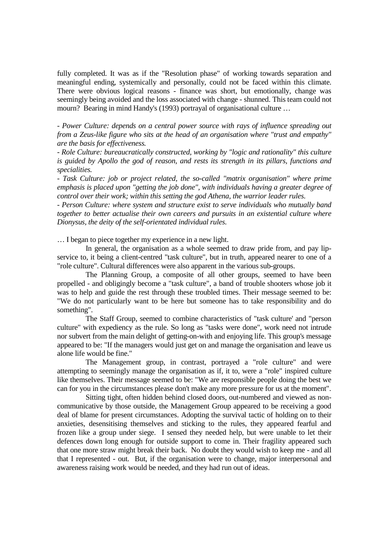fully completed. It was as if the "Resolution phase" of working towards separation and meaningful ending, systemically and personally, could not be faced within this climate. There were obvious logical reasons - finance was short, but emotionally, change was seemingly being avoided and the loss associated with change - shunned. This team could not mourn? Bearing in mind Handy's (1993) portrayal of organisational culture …

*- Power Culture: depends on a central power source with rays of influence spreading out from a Zeus-like figure who sits at the head of an organisation where "trust and empathy" are the basis for effectiveness.* 

*- Role Culture: bureaucratically constructed, working by "logic and rationality" this culture is guided by Apollo the god of reason, and rests its strength in its pillars, functions and specialities.* 

*- Task Culture: job or project related, the so-called "matrix organisation" where prime emphasis is placed upon "getting the job done", with individuals having a greater degree of control over their work; within this setting the god Athena, the warrior leader rules.* 

*- Person Culture: where system and structure exist to serve individuals who mutually band together to better actualise their own careers and pursuits in an existential culture where Dionysus, the deity of the self-orientated individual rules.* 

… I began to piece together my experience in a new light.

 In general, the organisation as a whole seemed to draw pride from, and pay lipservice to, it being a client-centred "task culture", but in truth, appeared nearer to one of a "role culture". Cultural differences were also apparent in the various sub-groups.

 The Planning Group, a composite of all other groups, seemed to have been propelled - and obligingly become a "task culture", a band of trouble shooters whose job it was to help and guide the rest through these troubled times. Their message seemed to be: "We do not particularly want to be here but someone has to take responsibility and do something".

 The Staff Group, seemed to combine characteristics of "task culture' and "person culture" with expediency as the rule. So long as "tasks were done", work need not intrude nor subvert from the main delight of getting-on-with and enjoying life. This group's message appeared to be: "If the managers would just get on and manage the organisation and leave us alone life would be fine."

 The Management group, in contrast, portrayed a "role culture" and were attempting to seemingly manage the organisation as if, it to, were a "role" inspired culture like themselves. Their message seemed to be: "We are responsible people doing the best we can for you in the circumstances please don't make any more pressure for us at the moment".

 Sitting tight, often hidden behind closed doors, out-numbered and viewed as noncommunicative by those outside, the Management Group appeared to be receiving a good deal of blame for present circumstances. Adopting the survival tactic of holding on to their anxieties, desensitising themselves and sticking to the rules, they appeared fearful and frozen like a group under siege. I sensed they needed help, but were unable to let their defences down long enough for outside support to come in. Their fragility appeared such that one more straw might break their back. No doubt they would wish to keep me - and all that I represented - out. But, if the organisation were to change, major interpersonal and awareness raising work would be needed, and they had run out of ideas.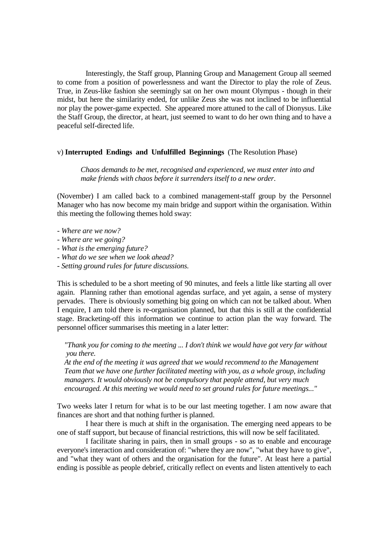Interestingly, the Staff group, Planning Group and Management Group all seemed to come from a position of powerlessness and want the Director to play the role of Zeus. True, in Zeus-like fashion she seemingly sat on her own mount Olympus - though in their midst, but here the similarity ended, for unlike Zeus she was not inclined to be influential nor play the power-game expected. She appeared more attuned to the call of Dionysus. Like the Staff Group, the director, at heart, just seemed to want to do her own thing and to have a peaceful self-directed life.

## v) **Interrupted Endings and Unfulfilled Beginnings** (The Resolution Phase)

 *Chaos demands to be met, recognised and experienced, we must enter into and make friends with chaos before it surrenders itself to a new order*.

(November) I am called back to a combined management-staff group by the Personnel Manager who has now become my main bridge and support within the organisation. Within this meeting the following themes hold sway:

- *Where are we now?*
- *Where are we going?*
- *What is the emerging future?*
- *What do we see when we look ahead?*
- *Setting ground rules for future discussions.*

This is scheduled to be a short meeting of 90 minutes, and feels a little like starting all over again. Planning rather than emotional agendas surface, and yet again, a sense of mystery pervades. There is obviously something big going on which can not be talked about. When I enquire, I am told there is re-organisation planned, but that this is still at the confidential stage. Bracketing-off this information we continue to action plan the way forward. The personnel officer summarises this meeting in a later letter:

 *"Thank you for coming to the meeting ... I don't think we would have got very far without you there.* 

 *At the end of the meeting it was agreed that we would recommend to the Management Team that we have one further facilitated meeting with you, as a whole group, including managers. It would obviously not be compulsory that people attend, but very much encouraged. At this meeting we would need to set ground rules for future meetings..."*

Two weeks later I return for what is to be our last meeting together. I am now aware that finances are short and that nothing further is planned.

 I hear there is much at shift in the organisation. The emerging need appears to be one of staff support, but because of financial restrictions, this will now be self facilitated.

 I facilitate sharing in pairs, then in small groups - so as to enable and encourage everyone's interaction and consideration of: "where they are now", "what they have to give", and "what they want of others and the organisation for the future". At least here a partial ending is possible as people debrief, critically reflect on events and listen attentively to each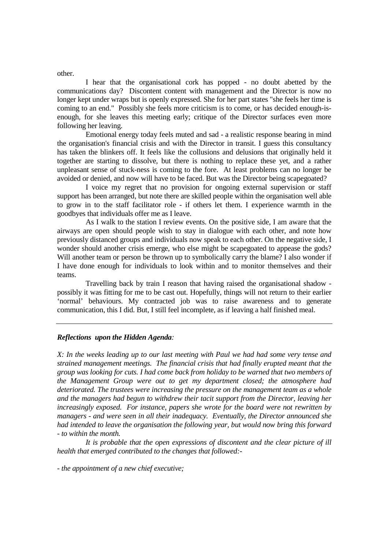other.

 I hear that the organisational cork has popped - no doubt abetted by the communications day? Discontent content with management and the Director is now no longer kept under wraps but is openly expressed. She for her part states "she feels her time is coming to an end." Possibly she feels more criticism is to come, or has decided enough-isenough, for she leaves this meeting early; critique of the Director surfaces even more following her leaving.

 Emotional energy today feels muted and sad - a realistic response bearing in mind the organisation's financial crisis and with the Director in transit. I guess this consultancy has taken the blinkers off. It feels like the collusions and delusions that originally held it together are starting to dissolve, but there is nothing to replace these yet, and a rather unpleasant sense of stuck-ness is coming to the fore. At least problems can no longer be avoided or denied, and now will have to be faced. But was the Director being scapegoated?

 I voice my regret that no provision for ongoing external supervision or staff support has been arranged, but note there are skilled people within the organisation well able to grow in to the staff facilitator role - if others let them. I experience warmth in the goodbyes that individuals offer me as I leave.

 As I walk to the station I review events. On the positive side, I am aware that the airways are open should people wish to stay in dialogue with each other, and note how previously distanced groups and individuals now speak to each other. On the negative side, I wonder should another crisis emerge, who else might be scapegoated to appease the gods? Will another team or person be thrown up to symbolically carry the blame? I also wonder if I have done enough for individuals to look within and to monitor themselves and their teams.

 Travelling back by train I reason that having raised the organisational shadow possibly it was fitting for me to be cast out. Hopefully, things will not return to their earlier 'normal' behaviours. My contracted job was to raise awareness and to generate communication, this I did. But, I still feel incomplete, as if leaving a half finished meal.

## *Reflections upon the Hidden Agenda:*

*X: In the weeks leading up to our last meeting with Paul we had had some very tense and strained management meetings. The financial crisis that had finally erupted meant that the group was looking for cuts. I had come back from holiday to be warned that two members of the Management Group were out to get my department closed; the atmosphere had deteriorated. The trustees were increasing the pressure on the management team as a whole and the managers had begun to withdrew their tacit support from the Director, leaving her increasingly exposed. For instance, papers she wrote for the board were not rewritten by managers - and were seen in all their inadequacy. Eventually, the Director announced she had intended to leave the organisation the following year, but would now bring this forward - to within the month.* 

 *It is probable that the open expressions of discontent and the clear picture of ill health that emerged contributed to the changes that followed:-* 

*- the appointment of a new chief executive;*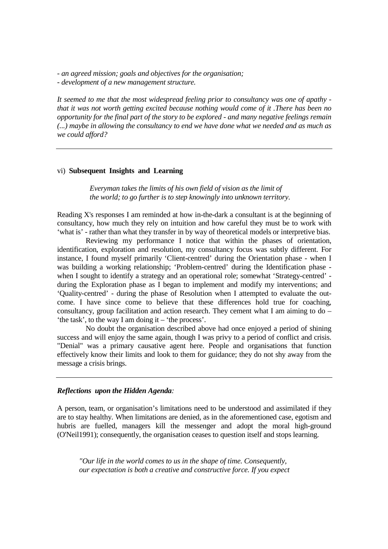*- an agreed mission; goals and objectives for the organisation;* 

*- development of a new management structure.* 

*It seemed to me that the most widespread feeling prior to consultancy was one of apathy that it was not worth getting excited because nothing would come of it .There has been no opportunity for the final part of the story to be explored - and many negative feelings remain (...) maybe in allowing the consultancy to end we have done what we needed and as much as we could afford?* 

## vi) **Subsequent Insights and Learning**

 *Everyman takes the limits of his own field of vision as the limit of the world; to go further is to step knowingly into unknown territory*.

Reading X's responses I am reminded at how in-the-dark a consultant is at the beginning of consultancy, how much they rely on intuition and how careful they must be to work with 'what is' - rather than what they transfer in by way of theoretical models or interpretive bias.

 Reviewing my performance I notice that within the phases of orientation, identification, exploration and resolution, my consultancy focus was subtly different. For instance, I found myself primarily 'Client-centred' during the Orientation phase - when I was building a working relationship; 'Problem-centred' during the Identification phase when I sought to identify a strategy and an operational role; somewhat 'Strategy-centred' during the Exploration phase as I began to implement and modify my interventions; and 'Quality-centred' - during the phase of Resolution when I attempted to evaluate the outcome. I have since come to believe that these differences hold true for coaching, consultancy, group facilitation and action research. They cement what I am aiming to do – 'the task', to the way I am doing it – 'the process'.

 No doubt the organisation described above had once enjoyed a period of shining success and will enjoy the same again, though I was privy to a period of conflict and crisis. "Denial" was a primary causative agent here. People and organisations that function effectively know their limits and look to them for guidance; they do not shy away from the message a crisis brings.

## *Reflections upon the Hidden Agenda:*

A person, team, or organisation's limitations need to be understood and assimilated if they are to stay healthy. When limitations are denied, as in the aforementioned case, egotism and hubris are fuelled, managers kill the messenger and adopt the moral high-ground (O'Neil1991); consequently, the organisation ceases to question itself and stops learning.

 *"Our life in the world comes to us in the shape of time. Consequently, our expectation is both a creative and constructive force. If you expect*